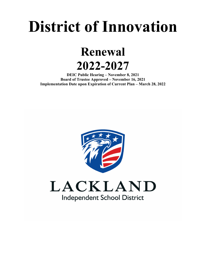# **District of Innovation**

**Renewal 2022-2027** 

**DEIC Public Hearing – November 8, 2021 Board of Trustee Approved – November 16, 2021 Implementation Date upon Expiration of Current Plan – March 28, 2022** 

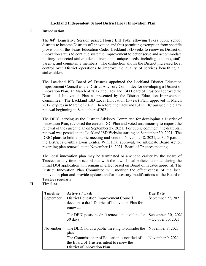### **Lackland Independent School District Local Innovation Plan**

#### **I. Introduction**

The 84th Legislative Session passed House Bill 1842, allowing Texas public school districts to become Districts of Innovation and thus permitting exemption from specific provisions of the Texas Education Code. Lackland ISD seeks to renew its District of Innovation status to continue systemic improvement to better serve and accommodate military-connected stakeholders' diverse and unique needs, including students, staff, parents, and community members. The distinction allows the District increased local control over District operations to improve the quality of services benefiting all stakeholders.

The Lackland ISD Board of Trustees appointed the Lackland District Education Improvement Council as the District Advisory Committee for developing a District of Innovation Plan. In March of 2017, the Lackland ISD Board of Trustees approved the District of Innovation Plan as presented by the District Education Improvement Committee. The Lackland ISD Local Innovation (5-year) Plan, approved in March 2017, expires in March of 2022. Therefore, the Lackland ISD DEIC pursued the plan's renewal beginning in September of 2021.

The DEIC, serving as the District Advisory Committee for developing a District of Innovation Plan, reviewed the current DOI Plan and voted unanimously to request the renewal of the current plan on September 27, 2021. For public comment, the draft plan renewal was posted on the Lackland ISD Website starting on September 30, 2021. The DEIC plans to hold a public meeting and vote on November 8, 2021, at 3:45 p.m. in the District's Cynthia Lyon Center. With final approval, we anticipate Board Action regarding plan renewal at the November 16, 2021, Board of Trustees meeting.

The local innovation plan may be terminated or amended earlier by the Board of Trustees at any time in accordance with the law. Local policies adopted during the initial DOI application will remain in effect based on Board of Trustee approval. The District Innovation Plan Committee will monitor the effectiveness of the local innovation plan and provide updates and/or necessary modifications to the Board of Trustees regularly.

## **II. Timeline**

| <b>Timeline</b> | <b>Activity / Task</b>                                                                                                   | <b>Due Date</b>                            |
|-----------------|--------------------------------------------------------------------------------------------------------------------------|--------------------------------------------|
| September       | District Education Improvement Council<br>develops a draft District of Innovation Plan for                               | September 27, 2021                         |
|                 | renewal.                                                                                                                 |                                            |
|                 | The DEIC posts the draft renewal plan online for<br>30 days                                                              | September 30, 2021<br>$-$ October 30, 2021 |
| November        | The DEIC holds a public meeting to consider the<br>plan.                                                                 | November $8, 2021$                         |
|                 | The Commissioner of Education is notified of<br>the Board of Trustees intent to renew the<br>District of Innovation Plan | November 9, 2021                           |
|                 |                                                                                                                          |                                            |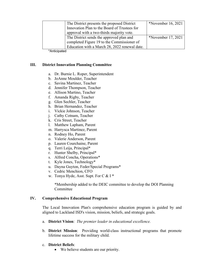| The District presents the proposed District   | *November 16, 2021   |
|-----------------------------------------------|----------------------|
| Innovation Plan to the Board of Trustees for  |                      |
| approval with a two-thirds majority vote.     |                      |
| The District sends the approved plan and      | *November $17, 2021$ |
| completed Figure 19 to the Commissioner of    |                      |
| Education with a March 28, 2022 renewal date. |                      |

\*Anticipated

### **III. District Innovation Planning Committee**

- a. Dr. Burnie L. Roper, Superintendent
- b. JoAnne Moulder, Teacher
- c. Savina Martinez, Teacher
- d. Jennifer Thompson, Teacher
- e. Allison Martino, Teacher
- f. Amanda Rigby, Teacher
- g. Glen Sechler, Teacher
- h. Brian Hernandez, Teacher
- i. Vickie Johnson, Teacher
- j. Cathy Cotnam, Teacher
- k. Cris Street, Teacher
- l. Matthew Lapham, Parent
- m. Harrysca Martinez, Parent
- n. Rodney Ho, Parent
- o. Valerie Anderson, Parent
- p. Lauren Courchaine, Parent
- q. Terri Leija, Principal\*
- r. Hunter Shelby, Principal\*
- s. Alfred Concha, Operations\*
- t. Kyle Jones, Technology\*
- u. Dayna Guyton, Feder/Special Programs\*
- v. Cedric Menchion, CFO
- w. Tonya Hyde, Asst. Supt. For C & I \*

\*Membership added to the DEIC committee to develop the DOI Planning Committee

### **IV. Comprehensive Educational Program**

The Local Innovation Plan's comprehensive education program is guided by and aligned to Lackland ISD's vision, mission, beliefs, and strategic goals.

- a. **District Vision**: *The premier leader in educational excellence.*
- b. **District Mission**: Providing world-class instructional programs that promote lifetime success for the military child.
- c. **District Beliefs**:
	- We believe students are our priority.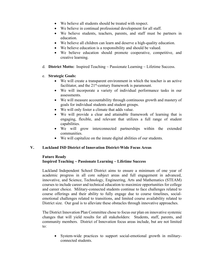- We believe all students should be treated with respect.
- We believe in continual professional development for all staff.
- We believe students, teachers, parents, and staff must be partners in education.
- We believe all children can learn and deserve a high-quality education.
- We believe education is a responsibility and should be valued.
- We believe education should promote cooperative, competitive, and creative learning.
- d. **District Motto:** Inspired Teaching ~ Passionate Learning ~ Lifetime Success.
- e. **Strategic Goals:**
	- We will create a transparent environment in which the teacher is an active facilitator, and the  $21<sup>st</sup>$ -century framework is paramount.
	- We will incorporate a variety of individual performance tasks in our assessments.
	- We will measure accountability through continuous growth and mastery of goals for individual students and student groups.
	- We will only foster a climate that adds value.
	- We will provide a clear and attainable framework of learning that is engaging, flexible, and relevant that utilizes a full range of student capabilities.
	- We will grow interconnected partnerships within the extended communities.
	- We will capitalize on the innate digital abilities of our students.

## **V. Lackland ISD District of Innovation District-Wide Focus Areas**

# **Future Ready Inspired Teaching ~ Passionate Learning ~ Lifetime Success**

Lackland Independent School District aims to ensure a minimum of one year of academic progress in all core subject areas and full engagement in advanced, innovative, and Science, Technology, Engineering, Arts and Mathematics (STEAM) courses to include career and technical education to maximize opportunities for college and career choice. Military-connected students continue to face challenges related to course offerings and their ability to fully engage due to course timelines, socialemotional challenges related to transitions, and limited course availability related to District size. Our goal is to alleviate these obstacles through innovative approaches.

The District Innovation Plan Committee chose to focus our plan on innovative systemic changes that will yield results for all stakeholders: Students, staff, parents, and community members. District of Innovation focus areas include, but are not limited to:

 System-wide practices to support social-emotional growth in militaryconnected students.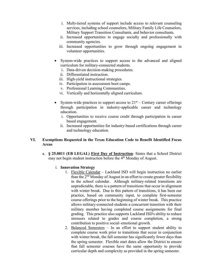- i. Multi-tiered systems of support include access to relevant counseling services, including school counselors, Military Family Life Counselors, Military Support Transition Consultants, and behavior consultants.
- ii. Increased opportunities to engage socially and professionally with community agencies.
- iii. Increased opportunities to grow through ongoing engagement in volunteer opportunities.
- System-wide practices to support access to the advanced and aligned curriculum for military-connected students.
	- i. Data-driven decision-making procedures.
	- ii. Differentiated instruction.
	- iii. High-yield instructional strategies.
	- iv. Participation in assessment boot camps.
	- v. Professional Learning Communities.
	- vi. Vertically and horizontally aligned curriculum.
- System-wide practices to support access to  $21<sup>st</sup>$  Century career offerings through participation in industry-applicable career and technology education.
	- i. Opportunities to receive course credit through participation in career based engagement.
	- ii. Increased opportunities for industry-based certifications through career and technology education.

## **VI. Exemptions Requested in the Texas Education Code to Benefit Identified Focus Areas**

a. **§ 25.0811 (EB LEGAL) First Day of Instruction**- States that a School District may not begin student instruction before the 4<sup>th</sup> Monday of August.

## i. **Innovation Strategy**

- 1. Flexible Calendar Lackland ISD will begin instruction no earlier than the  $2<sup>nd</sup>$  Monday of August in an effort to create greater flexibility in the school calendar. Although military-related transitions are unpredictable, there is a pattern of transitions that occur in alignment with winter break. Due to this pattern of transitions, it has been our practice, based on community input, to complete first-semester course offerings prior to the beginning of winter break. This practice allows military-connected students a concurrent transition with their military member having completed course assignments for final grading. This practice also supports Lackland ISD's ability to reduce stressors related to grades and course completion, a strong contribution to positive social–emotional growth.
- 2. Balanced Semesters In an effort to support student ability to complete course work prior to transitions that occur in conjunction with winter break, the fall semester has significantly fewer days than the spring semester. Flexible start dates allow the District to ensure that fall semester courses have the same opportunity to provide curricular depth and complexity as provided in the spring semester.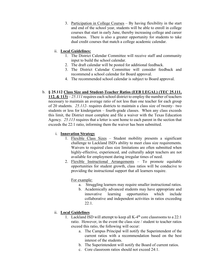3. Participation in College Courses – By having flexibility in the start and end of the school year, students will be able to enroll in college courses that start in early June, thereby increasing college and career readiness. There is also a greater opportunity for students to take dual credit courses that match a college academic calendar.

## ii. **Local Guidelines:**

- 1. The District Calendar Committee will receive staff and community input to build the school calendar.
- 2. The draft calendar will be posted for additional feedback.
- 3. The District Calendar Committee will consider feedback and recommend a school calendar for Board approval.
- 4. The recommended school calendar is subject to Board approval.

# b. **§ 25.112 Class Size and Student-Teacher Ratios (EEB LEGAL) (TEC 25.111,**

**112, & 113)** – *25.111* requires each school district to employ the number of teachers necessary to maintain an average ratio of not less than one teacher for each group of 20 students. *25.112-* requires districts to maintain a class size of twenty– two students or less for kindergarten – fourth-grade classes. When any class exceeds this limit, the District must complete and file a waiver with the Texas Education Agency. *25.113* requires that a letter is sent home to each parent in the section that exceeds the 22:1 ratio, informing them the waiver has been submitted.

## i. **Innovation Strategy**

- 1. Flexible Class Sizes Student mobility presents a significant challenge to Lackland ISD's ability to meet class size requirements. Waivers to required class size limitations are often submitted when highly-effective, experienced, and culturally adept teachers are not available for employment during irregular times of need.
- 2. Flexible Instructional Arrangements To promote equitable opportunities for student growth, class ratios will be conducive to providing the instructional support that all learners require.

For example:

- a. Struggling learners may require smaller instructional ratios.
- b. Academically advanced students may have appropriate and innovative learning opportunities which include collaborative and independent activities in ratios exceeding 22:1.

# ii. **Local Guidelines**

- 1. Lackland ISD will attempt to keep all  $K-4<sup>th</sup>$  core classrooms to a 22:1 ratio. However, in the event the class size / student to teacher ratios exceed this ratio, the following will occur:
	- a. The Campus Principal will notify the Superintendent of the current ratios with a recommendation based on the best interest of the students.
	- b. The Superintendent will notify the Board of current ratios.
	- c. Core classroom ratios should not exceed 24:1.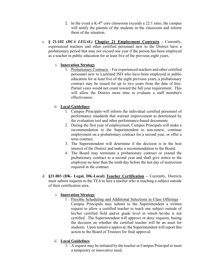- 2. In the event a K-4<sup>th</sup> core classroom exceeds a 22:1 ratio, the campus will notify the parents of the students in the classroom and inform them of the situation.
- c. **§ 21.102 (***DCA LEGAL)* **Chapter 21 Employment Contracts**  Currently, experienced teachers and other certified personnel new to the District have a probationary period that may not exceed one year if the person has been employed as a teacher in public education for at least five of the previous eight years.

## i. **Innovation Strategy**

1. Probationary Contracts – For experienced teachers and other certified personnel new to Lackland ISD who have been employed in public education for at least five of the eight previous years, a probationary contract may be issued for up to two years from the date of hire. Partial years would not count toward the full year requirement. This will allow the District more time to evaluate a staff member's effectiveness.

# ii. **Local Guidelines**

- 1. Campus Principals will inform the individual certified personnel of performance standards that warrant improvement as determined by the evaluation tool and other performance-based documents.
- 2. During the first year of employment, Campus Principals will make a recommendation to the Superintendent to non-renew, continue employment on a probationary contract for a second year, or offer a term contract.
- 3. The Superintendent will determine if the decision is in the best interest of the District and make a recommendation to the Board.
- 4. The Board may terminate a probationary contract or extend the probationary contract to a second year and shall give notice to the employee no later than the tenth day before the last day of instruction required in the contract.
- d. **§21.003 (DK- Legal, DK-Local) Teacher Certification** Currently, Districts must submit requests to the TEA to hire a teacher who is teaching a subject outside of their certification area.

## i. **Innovation Strategy**

1. Flexible Scheduling and Additional Selections in Class Offerings – Campus Principals may submit to the Superintendent a written request to allow a certified teacher to teach one subject outside of his/her certified field and/or grade level in which he/she is not certified. The Superintendent will approve or deny requests, basing the decision on whether the certified teacher will be an asset for students. Upon tentative approval, the Superintendent will report this action to the Board of Trustees for final approval.

## ii. **Local Guidelines**

1. A request may be initiated by the teacher or Campus Principal to meet a temporary or innovative need.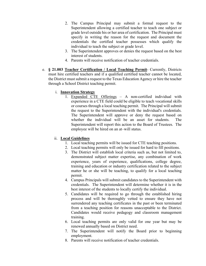- 2. The Campus Principal may submit a formal request to the Superintendent allowing a certified teacher to teach one subject or grade level outside his or her area of certification. The Principal must specify in writing the reason for the request and document the credentials the certified teacher possesses which qualify the individual to teach the subject or grade level.
- 3. The Superintendent approves or denies the request based on the best interest of students.
- 4. Parents will receive notification of teacher credentials.
- e. **§ 21.003 Teacher Certification / Local Teaching Permit** Currently, Districts must hire certified teachers and if a qualified certified teacher cannot be located, the District must submit a request to the Texas Education Agency or hire the teacher through a School District teaching permit.

# i. **Innovation Strategy**

1. Expanded CTE Offerings – A non-certified individual with experience in a CTE field could be eligible to teach vocational skills or courses through a local teaching permit. The Principal will submit the request to the Superintendent with the individual's credentials. The Superintendent will approve or deny the request based on whether the individual will be an asset for students. The Superintendent will report this action to the Board of Trustees. The employee will be hired on an at–will status.

# ii. **Local Guidelines**

- 1. Local teaching permits will be issued for CTE teaching positions.
- 2. Local teaching permits will only be issued for hard to fill positions.
- 3. The District will establish local criteria such as, but not limited to, demonstrated subject matter expertise, any combination of work experience, years of experience, qualifications, college degree, training and education or industry certification related to the subject matter he or she will be teaching, to qualify for a local teaching permit.
- 4. Campus Principals will submit candidates to the Superintendent with credentials. The Superintendent will determine whether it is in the best interest of the students to locally certify the individual.
- 5. Candidates will be required to go through the established hiring process and will be thoroughly vetted to ensure they have not surrendered any teaching certificates in the past or been terminated from a teaching position for reasons unacceptable to the District. Candidates would receive pedagogy and classroom management training.
- 6. Local teaching permits are only valid for one year but may be renewed annually based on District need.
- 7. The Superintendent will notify the Board prior to beginning employment.
- 8. Parents will receive notification of teacher credentials.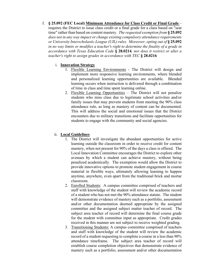f. **§ 25.092 (FEC Local) Minimum Attendance for Class Credit or Final Grade** – requires the District to issue class credit or a final grade for a class based on "seat time" rather than based on content mastery. *The requested exemption from* **§ 25.092**  *does not in any way impact or change existing compulsory attendance requirements or University Interscholastic League (UIL) rules. Moreover, opting out of* **§ 25.092**  *in no way limits or modifies a teacher's right to determine the finality of a grade in accordance with Texas Education Code* **§ 28.0214***, nor does it restrict or alter a teacher's right to assign grades in accordance with TEC* **§ 28.0216** 

### i. **Innovation Strategy**

- 1. Flexible Learning Environments The District will design and implement more responsive learning environments, where blended and personalized learning opportunities are available. Blended learning occurs when instruction is delivered through a combination of time in class and time spent learning online.
- 2. Flexible Learning Opportunities The District will not penalize students who miss class due to legitimate school activities and/or family issues that may prevent students from meeting the 90% class attendance rule, as long as mastery of content can be documented. This will address the social and emotional issues that the District encounters due to military transitions and facilitate opportunities for students to engage with the community and social agencies.

## ii. **Local Guidelines**

- 1. The District will investigate the abundant opportunities for active learning outside the classroom in order to receive credit for content mastery, when not present for 90% of the days a class is offered. The Local Innovation Committee encourages the District to explore other avenues by which a student can achieve mastery, without being penalized academically. The exemption would allow the District to provide innovative options to promote student engagement in course material in flexible ways, ultimately allowing learning to happen anytime, anywhere, even apart from the traditional brick and mortar classroom.
- 2. Enrolled Students: A campus committee comprised of teachers and staff with knowledge of the student will review the academic record of a student who has not met the 90% attendance statute. The student will demonstrate evidence of mastery such as a portfolio, assessment and/or other documentation deemed appropriate by the assigned committee and the assigned subject matter teacher of record. The subject area teacher of record will determine the final course grade for the student with committee input as appropriate. Credit grades received in this manner are not subject to receive weighted grading.
- 3. Transitioning Students: A campus committee comprised of teachers and staff with knowledge of the student will review the academic record of a student requesting to complete a course in a less than 90% attendance timeframe. The subject area teacher of record will establish course completion objectives that demonstrate evidence of mastery such as a portfolio, assessment and/or other documentation